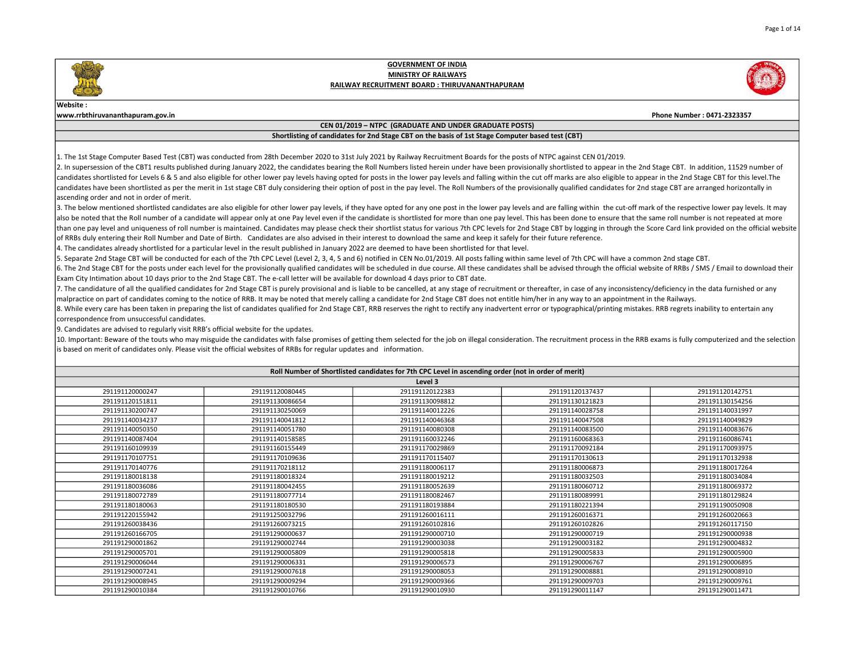#### Website :

www.rrbthiruvananthapuram.gov.in Phone Number : 0471-2323357

### CEN 01/2019 – NTPC (GRADUATE AND UNDER GRADUATE POSTS)

# Shortlisting of candidates for 2nd Stage CBT on the basis of 1st Stage Computer based test (CBT)

1. The 1st Stage Computer Based Test (CBT) was conducted from 28th December 2020 to 31st July 2021 by Railway Recruitment Boards for the posts of NTPC against CEN 01/2019.

2. In supersession of the CBT1 results published during January 2022, the candidates bearing the Roll Numbers listed herein under have been provisionally shortlisted to appear in the 2nd Stage CBT. In addition, 11529 numbe candidates shortlisted for Levels 6 & 5 and also eligible for other lower pay levels having opted for posts in the lower pay levels and falling within the cut off marks are also eligible to appear in the 2nd Stage CBT for candidates have been shortlisted as per the merit in 1st stage CBT duly considering their option of post in the pay level. The Roll Numbers of the provisionally qualified candidates for 2nd stage CBT are arranged horizonta ascending order and not in order of merit.

3. The below mentioned shortlisted candidates are also eligible for other lower pay levels, if they have opted for any one post in the lower pay levels and are falling within the cut-off mark of the respective lower pay le also be noted that the Roll number of a candidate will appear only at one Pay level even if the candidate is shortlisted for more than one pay level. This has been done to ensure that the same roll number is not repeated a than one pay level and uniqueness of roll number is maintained. Candidates may please check their shortlist status for various 7th CPC levels for 2nd Stage CBT by logging in through the Score Card link provided on the offi of RRBs duly entering their Roll Number and Date of Birth. Candidates are also advised in their interest to download the same and keep it safely for their future reference.

4. The candidates already shortlisted for a particular level in the result published in January 2022 are deemed to have been shortlisted for that level.

5. Separate 2nd Stage CBT will be conducted for each of the 7th CPC Level (Level 2, 3, 4, 5 and 6) notified in CEN No.01/2019. All posts falling within same level of 7th CPC will have a common 2nd stage CBT.

6. The 2nd Stage CBT for the posts under each level for the provisionally qualified candidates will be scheduled in due course. All these candidates shall be advised through the official website of RRBs / SMS / Email to do Exam City Intimation about 10 days prior to the 2nd Stage CBT. The e-call letter will be available for download 4 days prior to CBT date.

7. The candidature of all the qualified candidates for 2nd Stage CBT is purely provisional and is liable to be cancelled, at any stage of recruitment or thereafter, in case of any inconsistency/deficiency in the data furni malpractice on part of candidates coming to the notice of RRB. It may be noted that merely calling a candidate for 2nd Stage CBT does not entitle him/her in any way to an appointment in the Railways.

8. While every care has been taken in preparing the list of candidates qualified for 2nd Stage CBT, RRB reserves the right to rectify any inadvertent error or typographical/printing mistakes. RRB regrets inability to enter correspondence from unsuccessful candidates.

9. Candidates are advised to regularly visit RRB's official website for the updates.

10. Important: Beware of the touts who may misguide the candidates with false promises of getting them selected for the iob on illegal consideration. The recruitment process in the RRB exams is fully computerized and the s is based on merit of candidates only. Please visit the official websites of RRBs for regular updates and information.

| Roll Number of Shortlisted candidates for 7th CPC Level in ascending order (not in order of merit) |                 |                 |                 |                 |  |
|----------------------------------------------------------------------------------------------------|-----------------|-----------------|-----------------|-----------------|--|
| Level 3                                                                                            |                 |                 |                 |                 |  |
| 291191120000247                                                                                    | 291191120080445 | 291191120122383 | 291191120137437 | 291191120142751 |  |
| 291191120151811                                                                                    | 291191130086654 | 291191130098812 | 291191130121823 | 291191130154256 |  |
| 291191130200747                                                                                    | 291191130250069 | 291191140012226 | 291191140028758 | 291191140031997 |  |
| 291191140034237                                                                                    | 291191140041812 | 291191140046368 | 291191140047508 | 291191140049829 |  |
| 291191140050350                                                                                    | 291191140051780 | 291191140080308 | 291191140083500 | 291191140083676 |  |
| 291191140087404                                                                                    | 291191140158585 | 291191160032246 | 291191160068363 | 291191160086741 |  |
| 291191160109939                                                                                    | 291191160155449 | 291191170029869 | 291191170092184 | 291191170093975 |  |
| 291191170107751                                                                                    | 291191170109636 | 291191170115407 | 291191170130613 | 291191170132938 |  |
| 291191170140776                                                                                    | 291191170218112 | 291191180006117 | 291191180006873 | 291191180017264 |  |
| 291191180018138                                                                                    | 291191180018324 | 291191180019212 | 291191180032503 | 291191180034084 |  |
| 291191180036086                                                                                    | 291191180042455 | 291191180052639 | 291191180060712 | 291191180069372 |  |
| 291191180072789                                                                                    | 291191180077714 | 291191180082467 | 291191180089991 | 291191180129824 |  |
| 291191180180063                                                                                    | 291191180180530 | 291191180193884 | 291191180221394 | 291191190050908 |  |
| 291191220155942                                                                                    | 291191250032796 | 291191260016111 | 291191260016371 | 291191260020663 |  |
| 291191260038436                                                                                    | 291191260073215 | 291191260102816 | 291191260102826 | 291191260117150 |  |
| 291191260166705                                                                                    | 291191290000637 | 291191290000710 | 291191290000719 | 291191290000938 |  |
| 291191290001862                                                                                    | 291191290002744 | 291191290003038 | 291191290003182 | 291191290004832 |  |
| 291191290005701                                                                                    | 291191290005809 | 291191290005818 | 291191290005833 | 291191290005900 |  |
| 291191290006044                                                                                    | 291191290006331 | 291191290006573 | 291191290006767 | 291191290006895 |  |
| 291191290007241                                                                                    | 291191290007618 | 291191290008053 | 291191290008881 | 291191290008910 |  |
| 291191290008945                                                                                    | 291191290009294 | 291191290009366 | 291191290009703 | 291191290009761 |  |
| 291191290010384                                                                                    | 291191290010766 | 291191290010930 | 291191290011147 | 291191290011471 |  |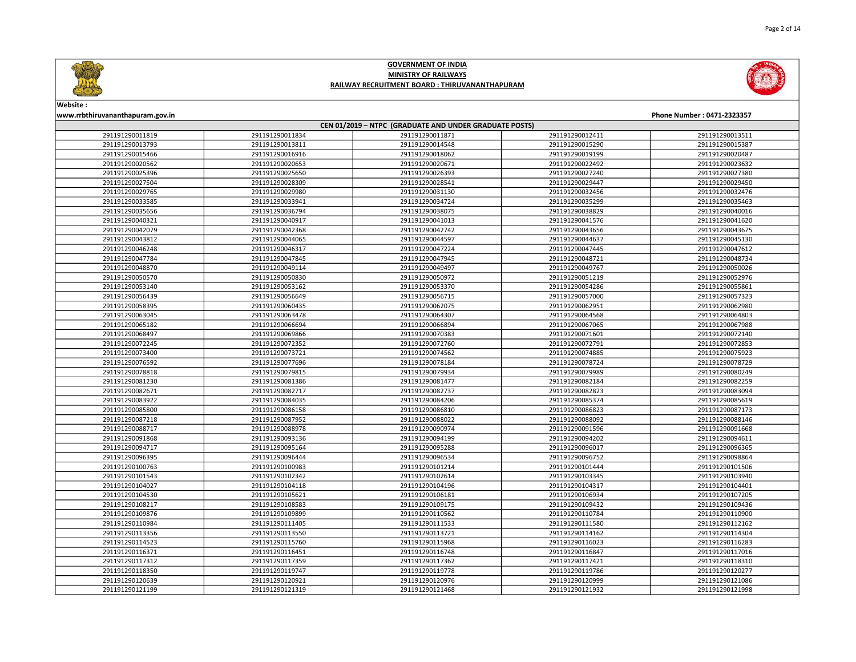





Website :

www.rrbthiruvananthapuram.gov.in Phone Number : 0471-2323357

| CEN 01/2019 - NTPC (GRADUATE AND UNDER GRADUATE POSTS) |                 |                 |                 |                 |  |
|--------------------------------------------------------|-----------------|-----------------|-----------------|-----------------|--|
| 291191290011819                                        | 291191290011834 | 291191290011871 | 291191290012411 | 291191290013511 |  |
| 291191290013793                                        | 291191290013811 | 291191290014548 | 291191290015290 | 291191290015387 |  |
| 291191290015466                                        | 291191290016916 | 291191290018062 | 291191290019199 | 291191290020487 |  |
| 291191290020562                                        | 291191290020653 | 291191290020671 | 291191290022492 | 291191290023632 |  |
| 291191290025396                                        | 291191290025650 | 291191290026393 | 291191290027240 | 291191290027380 |  |
| 291191290027504                                        | 291191290028309 | 291191290028541 | 291191290029447 | 291191290029450 |  |
| 291191290029765                                        | 291191290029980 | 291191290031130 | 291191290032456 | 291191290032476 |  |
| 291191290033585                                        | 291191290033941 | 291191290034724 | 291191290035299 | 291191290035463 |  |
| 291191290035656                                        | 291191290036794 | 291191290038075 | 291191290038829 | 291191290040016 |  |
| 291191290040321                                        | 291191290040917 | 291191290041013 | 291191290041576 | 291191290041620 |  |
| 291191290042079                                        | 291191290042368 | 291191290042742 | 291191290043656 | 291191290043675 |  |
| 291191290043812                                        | 291191290044065 | 291191290044597 | 291191290044637 | 291191290045130 |  |
| 291191290046248                                        | 291191290046317 | 291191290047224 | 291191290047445 | 291191290047612 |  |
| 291191290047784                                        | 291191290047845 | 291191290047945 | 291191290048721 | 291191290048734 |  |
| 291191290048870                                        | 291191290049114 | 291191290049497 | 291191290049767 | 291191290050026 |  |
| 291191290050570                                        | 291191290050830 | 291191290050972 | 291191290051219 | 291191290052976 |  |
| 291191290053140                                        | 291191290053162 | 291191290053370 | 291191290054286 | 291191290055861 |  |
| 291191290056439                                        | 291191290056649 | 291191290056715 | 291191290057000 | 291191290057323 |  |
| 291191290058395                                        | 291191290060435 | 291191290062075 | 291191290062951 | 291191290062980 |  |
| 291191290063045                                        | 291191290063478 | 291191290064307 | 291191290064568 | 291191290064803 |  |
| 291191290065182                                        | 291191290066694 | 291191290066894 | 291191290067065 | 291191290067988 |  |
| 291191290068497                                        | 291191290069866 | 291191290070383 | 291191290071601 | 291191290072140 |  |
| 291191290072245                                        | 291191290072352 | 291191290072760 | 291191290072791 | 291191290072853 |  |
| 291191290073400                                        | 291191290073721 | 291191290074562 | 291191290074885 | 291191290075923 |  |
| 291191290076592                                        | 291191290077696 | 291191290078184 | 291191290078724 | 291191290078729 |  |
| 291191290078818                                        | 291191290079815 | 291191290079934 | 291191290079989 | 291191290080249 |  |
| 291191290081230                                        | 291191290081386 | 291191290081477 | 291191290082184 | 291191290082259 |  |
| 291191290082671                                        | 291191290082717 | 291191290082737 | 291191290082823 | 291191290083094 |  |
| 291191290083922                                        | 291191290084035 | 291191290084206 | 291191290085374 | 291191290085619 |  |
| 291191290085800                                        | 291191290086158 | 291191290086810 | 291191290086823 | 291191290087173 |  |
| 291191290087218                                        | 291191290087952 | 291191290088022 | 291191290088092 | 291191290088146 |  |
| 291191290088717                                        | 291191290088978 | 291191290090974 | 291191290091596 | 291191290091668 |  |
| 291191290091868                                        | 291191290093136 | 291191290094199 | 291191290094202 | 291191290094611 |  |
| 291191290094717                                        | 291191290095164 | 291191290095288 | 291191290096017 | 291191290096365 |  |
| 291191290096395                                        | 291191290096444 | 291191290096534 | 291191290096752 | 291191290098864 |  |
| 291191290100763                                        | 291191290100983 | 291191290101214 | 291191290101444 | 291191290101506 |  |
| 291191290101543                                        | 291191290102342 | 291191290102614 | 291191290103345 | 291191290103940 |  |
| 291191290104027                                        | 291191290104118 | 291191290104196 | 291191290104317 | 291191290104401 |  |
| 291191290104530                                        | 291191290105621 | 291191290106181 | 291191290106934 | 291191290107205 |  |
| 291191290108217                                        | 291191290108583 | 291191290109175 | 291191290109432 | 291191290109436 |  |
| 291191290109876                                        | 291191290109899 | 291191290110562 | 291191290110784 | 291191290110900 |  |
| 291191290110984                                        | 291191290111405 | 291191290111533 | 291191290111580 | 291191290112162 |  |
| 291191290113356                                        | 291191290113550 | 291191290113721 | 291191290114162 | 291191290114304 |  |
| 291191290114523                                        | 291191290115760 | 291191290115968 | 291191290116023 | 291191290116283 |  |
| 291191290116371                                        | 291191290116451 | 291191290116748 | 291191290116847 | 291191290117016 |  |
| 291191290117312                                        | 291191290117359 | 291191290117362 | 291191290117421 | 291191290118310 |  |
| 291191290118350                                        | 291191290119747 | 291191290119778 | 291191290119786 | 291191290120277 |  |
| 291191290120639                                        | 291191290120921 | 291191290120976 | 291191290120999 | 291191290121086 |  |
| 291191290121199                                        | 291191290121319 | 291191290121468 | 291191290121932 | 291191290121998 |  |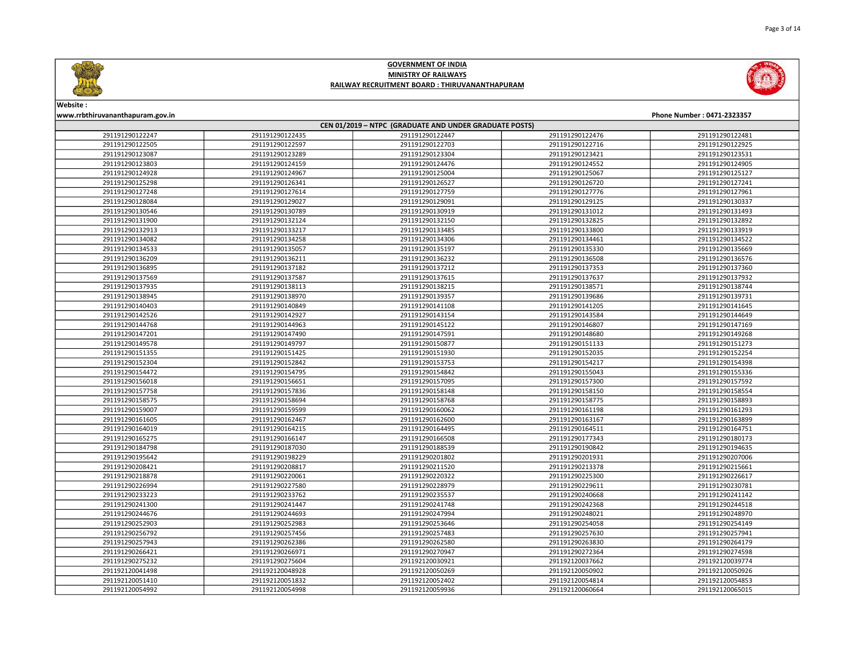



# Website :

www.rrbthiruvananthapuram.gov.in Phone Number : 0471-2323357

| CEN 01/2019 - NTPC (GRADUATE AND UNDER GRADUATE POSTS) |                 |                 |                 |                 |  |
|--------------------------------------------------------|-----------------|-----------------|-----------------|-----------------|--|
| 291191290122247                                        | 291191290122435 | 291191290122447 | 291191290122476 | 291191290122481 |  |
| 291191290122505                                        | 291191290122597 | 291191290122703 | 291191290122716 | 291191290122925 |  |
| 291191290123087                                        | 291191290123289 | 291191290123304 | 291191290123421 | 291191290123531 |  |
| 291191290123803                                        | 291191290124159 | 291191290124476 | 291191290124552 | 291191290124905 |  |
| 291191290124928                                        | 291191290124967 | 291191290125004 | 291191290125067 | 291191290125127 |  |
| 291191290125298                                        | 291191290126341 | 291191290126527 | 291191290126720 | 291191290127241 |  |
| 291191290127248                                        | 291191290127614 | 291191290127759 | 291191290127776 | 291191290127961 |  |
| 291191290128084                                        | 291191290129027 | 291191290129091 | 291191290129125 | 291191290130337 |  |
| 291191290130546                                        | 291191290130789 | 291191290130919 | 291191290131012 | 291191290131493 |  |
| 291191290131900                                        | 291191290132124 | 291191290132150 | 291191290132825 | 291191290132892 |  |
| 291191290132913                                        | 291191290133217 | 291191290133485 | 291191290133800 | 291191290133919 |  |
| 291191290134082                                        | 291191290134258 | 291191290134306 | 291191290134461 | 291191290134522 |  |
| 291191290134533                                        | 291191290135057 | 291191290135197 | 291191290135330 | 291191290135669 |  |
| 291191290136209                                        | 291191290136211 | 291191290136232 | 291191290136508 | 291191290136576 |  |
| 291191290136895                                        | 291191290137182 | 291191290137212 | 291191290137353 | 291191290137360 |  |
| 291191290137569                                        | 291191290137587 | 291191290137615 | 291191290137637 | 291191290137932 |  |
| 291191290137935                                        | 291191290138113 | 291191290138215 | 291191290138571 | 291191290138744 |  |
| 291191290138945                                        | 291191290138970 | 291191290139357 | 291191290139686 | 291191290139731 |  |
| 291191290140403                                        | 291191290140849 | 291191290141108 | 291191290141205 | 291191290141645 |  |
| 291191290142526                                        | 291191290142927 | 291191290143154 | 291191290143584 | 291191290144649 |  |
| 291191290144768                                        | 291191290144963 | 291191290145122 | 291191290146807 | 291191290147169 |  |
| 291191290147201                                        | 291191290147490 | 291191290147591 | 291191290148680 | 291191290149268 |  |
| 291191290149578                                        | 291191290149797 | 291191290150877 | 291191290151133 | 291191290151273 |  |
| 291191290151355                                        | 291191290151425 | 291191290151930 | 291191290152035 | 291191290152254 |  |
| 291191290152304                                        | 291191290152842 | 291191290153753 | 291191290154217 | 291191290154398 |  |
| 291191290154472                                        | 291191290154795 | 291191290154842 | 291191290155043 | 291191290155336 |  |
| 291191290156018                                        | 291191290156651 | 291191290157095 | 291191290157300 | 291191290157592 |  |
| 291191290157758                                        | 291191290157836 | 291191290158148 | 291191290158150 | 291191290158554 |  |
| 291191290158575                                        | 291191290158694 | 291191290158768 | 291191290158775 | 291191290158893 |  |
| 291191290159007                                        | 291191290159599 | 291191290160062 | 291191290161198 | 291191290161293 |  |
| 291191290161605                                        | 291191290162467 | 291191290162600 | 291191290163167 | 291191290163899 |  |
| 291191290164019                                        | 291191290164215 | 291191290164495 | 291191290164511 | 291191290164751 |  |
| 291191290165275                                        | 291191290166147 | 291191290166508 | 291191290177343 | 291191290180173 |  |
| 291191290184798                                        | 291191290187030 | 291191290188539 | 291191290190842 | 291191290194635 |  |
| 291191290195642                                        | 291191290198229 | 291191290201802 | 291191290201931 | 291191290207006 |  |
| 291191290208421                                        | 291191290208817 | 291191290211520 | 291191290213378 | 291191290215661 |  |
| 291191290218878                                        | 291191290220061 | 291191290220322 | 291191290225300 | 291191290226617 |  |
| 291191290226994                                        | 291191290227580 | 291191290228979 | 291191290229611 | 291191290230781 |  |
| 291191290233223                                        | 291191290233762 | 291191290235537 | 291191290240668 | 291191290241142 |  |
| 291191290241300                                        | 291191290241447 | 291191290241748 | 291191290242368 | 291191290244518 |  |
| 291191290244676                                        | 291191290244693 | 291191290247994 | 291191290248021 | 291191290248970 |  |
| 291191290252903                                        | 291191290252983 | 291191290253646 | 291191290254058 | 291191290254149 |  |
| 291191290256792                                        | 291191290257456 | 291191290257483 | 291191290257630 | 291191290257941 |  |
| 291191290257943                                        | 291191290262386 | 291191290262580 | 291191290263830 | 291191290264179 |  |
| 291191290266421                                        | 291191290266971 | 291191290270947 | 291191290272364 | 291191290274598 |  |
| 291191290275232                                        | 291191290275604 | 291192120030921 | 291192120037662 | 291192120039774 |  |
| 291192120041498                                        | 291192120048928 | 291192120050269 | 291192120050902 | 291192120050926 |  |
| 291192120051410                                        | 291192120051832 | 291192120052402 | 291192120054814 | 291192120054853 |  |
| 291192120054992                                        | 291192120054998 | 291192120059936 | 291192120060664 | 291192120065015 |  |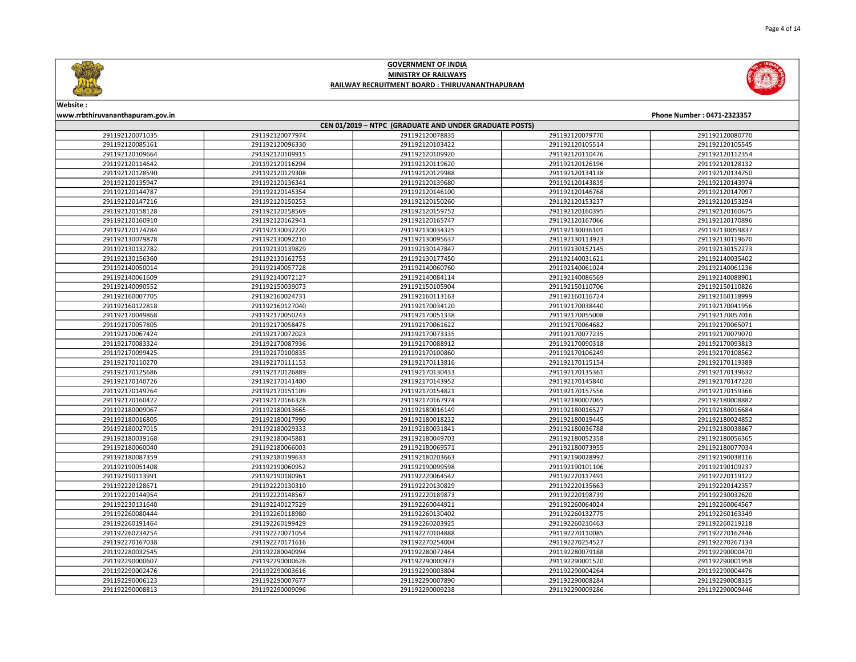



Website :

### www.rrbthiruvananthapuram.gov.in Phone Number : 0471-2323357 CEN 01/2019 – NTPC (GRADUATE AND UNDER GRADUATE POSTS) 291192120077974 291192120078835 291192120079770 291192120080770 291192120096330 291192120103422 291192120105514 291192120105545 291192120109915 291192120109920 291192120110476 291192120112354 291192120116294 291192120119620 291192120126196 291192120128132 291192120129308 291192120129988 291192120134138 291192120134750 291192120136341 291192120139680 291192120143839 291192120143974 291192120145354 291192120146100 291192120146768 291192120147097 291192120150253 291192120150260 291192120153237 291192120153294 291192120158569 291192120159752 291192120160395 291192120160675 291192120162941 291192120165747 291192120167066 291192120170896 291192130032220 291192130034325 291192130036101 291192130059837 291192130092210 291192130095637 291192130113923 291192130119670 291192130139829 291192130147847 291192130152145 291192130152273 291192130162753 291192130177450 291192140031621 291192140035402 291192140057728 291192140060760 291192140061024 291192140061236 291192140072127 291192140084114 291192140086569 291192140088901 291192150039073 291192150105904 291192150110706 291192150110826 291192160024731 291192160113163 291192160116724 291192160118999 291192160127040 291192170034120 291192170038440 291192170041956 291192170050243 291192170051338 291192170055008 291192170057016 291192170058475 291192170061622 291192170064682 291192170065071 291192170072023 291192170073335 291192170077235 291192170079070 291192170087936 291192170088912 291192170090318 291192170093813 291192170100835 291192170100860 291192170106249 291192170108562 291192170111153 291192170113816 291192170115154 291192170119389 291192170126889 291192170130433 291192170135361 291192170139632 291192170141400 291192170143952 291192170145840 291192170147220 291192170151109 291192170154821 291192170157556 291192170159366 291192170166328 291192170167974 291192180007065 291192180008882 291192180013665 291192180016149 291192180016527 291192180016684 291192180017990 291192180018232 291192180019445 291192180024852 291192180029333 291192180031841 291192180036788 291192180038867 291192180045881 291192180049703 291192180052358 291192180056365 291192180066003 291192180069571 291192180073955 291192180077034 291192180199633 291192180203663 291192190028992 291192190038116 291192190060952 291192190099598 291192190101106 291192190109237 291192190180961 291192220064542 291192220117491 291192220119122 291192220130310 291192220130829 291192220135663 291192220142357 291192220148567 291192220189873 291192220198739 291192230032620 291192240127529 291192260044921 291192260064024 291192260064567 291192260118980 291192260130402 291192260132775 291192260163349 291192260199429 291192260203925 291192260210463 291192260219218 291192270071054 291192270104888 291192270110085 291192270162446 291192270171616 291192270254004 291192270254527 291192270267134 291192280040994 291192280072464 291192280079188 291192290000470 291192290000626 291192290000973 291192290001520 291192290001958 291192290003616 291192290003804 291192290004264 291192290004476 291192290007677 291192290007890 291192290008284 291192290008315 291192290009096 291192290009238 291192290009286 291192290009446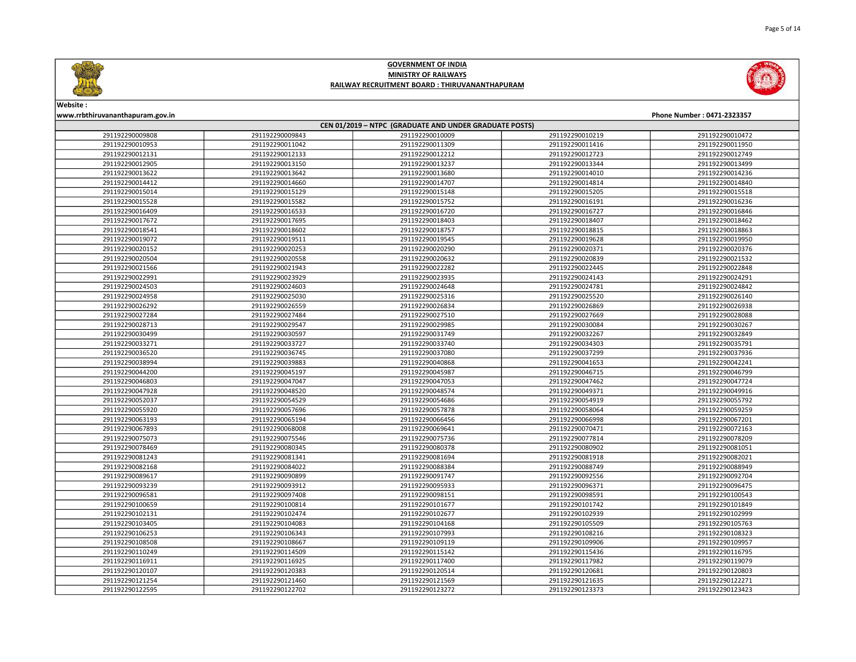



Website :

### www.rrbthiruvananthapuram.gov.in Phone Number : 0471-2323357 CEN 01/2019 – NTPC (GRADUATE AND UNDER GRADUATE POSTS) 291192290009843 291192290010009 291192290010219 291192290010472 291192290011042 291192290011309 291192290011416 291192290011950 291192290012133 291192290012212 291192290012723 291192290012749 291192290013150 291192290013237 291192290013344 291192290013499 291192290013642 291192290013680 291192290014010 291192290014236 291192290014660 291192290014707 291192290014814 291192290014840 291192290015129 291192290015148 291192290015205 291192290015518 291192290015582 291192290015752 291192290016191 291192290016236 291192290016533 291192290016720 291192290016727 291192290016846 291192290017695 291192290018403 291192290018407 291192290018462 291192290018602 291192290018757 291192290018815 291192290018863 291192290019511 291192290019545 291192290019628 291192290019950 291192290020253 291192290020290 291192290020371 291192290020376 291192290020558 291192290020632 291192290020839 291192290021532 291192290021943 291192290022282 291192290022445 291192290022848 291192290023929 291192290023935 291192290024143 291192290024291 291192290024603 291192290024648 291192290024781 291192290024842 291192290025030 291192290025316 291192290025520 291192290026140 291192290026559 291192290026834 291192290026869 291192290026938 291192290027484 291192290027510 291192290027669 291192290028088 291192290029547 291192290029985 291192290030084 291192290030267 291192290030597 291192290031749 291192290032267 291192290032849 291192290033727 291192290033740 291192290034303 291192290035791 291192290036745 291192290037080 291192290037299 291192290037936 291192290039883 291192290040868 291192290041653 291192290042241 291192290045197 291192290045987 291192290046715 291192290046799 291192290047047 291192290047053 291192290047462 291192290047724 291192290048520 291192290048574 291192290049371 291192290049916 291192290054529 291192290054686 291192290054919 291192290055792 291192290057696 291192290057878 291192290058064 291192290059259 291192290065194 291192290066456 291192290066998 291192290067201 291192290068008 291192290069641 291192290070471 291192290072163 291192290075546 291192290075736 291192290077814 291192290078209 291192290080345 291192290080378 291192290080902 291192290081051 291192290081341 291192290081694 291192290081918 291192290082021 291192290084022 291192290088384 291192290088749 291192290088949 291192290090899 291192290091747 291192290092556 291192290092704 291192290093912 291192290095933 291192290096371 291192290096475 291192290097408 291192290098151 291192290098591 291192290100543 291192290100814 291192290101677 291192290101742 291192290101849 291192290102474 291192290102677 291192290102939 291192290102999 291192290104083 291192290104168 291192290105509 291192290105763 291192290106343 291192290107993 291192290108216 291192290108323 291192290108667 291192290109119 291192290109906 291192290109957 291192290114509 291192290115142 291192290115436 291192290116795 291192290116925 291192290117400 291192290117982 291192290119079 291192290120383 291192290120514 291192290120681 291192290120803 291192290121460 291192290121569 291192290121635 291192290122271 291192290122702 291192290123272 291192290123373 291192290123423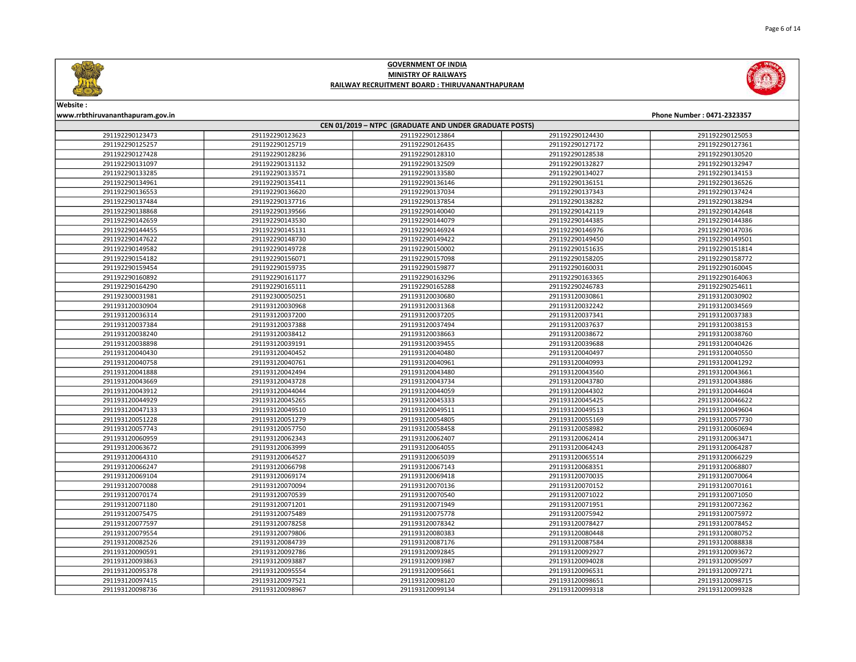

www.rrbthiruvananthapuram.gov.in Phone Number : 0471-2323357



Website :

### CEN 01/2019 – NTPC (GRADUATE AND UNDER GRADUATE POSTS) 291192290123623 291192290123864 291192290124430 291192290125053 291192290125719 291192290126435 291192290127172 291192290127361 291192290128236 291192290128310 291192290128538 291192290130520 291192290131132 291192290132509 291192290132827 291192290132947 291192290133571 291192290133580 291192290134027 291192290134153 291192290135411 291192290136146 291192290136151 291192290136526 291192290136620 291192290137034 291192290137343 291192290137424 291192290137716 291192290137854 291192290138282 291192290138294 291192290139566 291192290140040 291192290142119 291192290142648 291192290143530 291192290144079 291192290144385 291192290144386 291192290145131 291192290146924 291192290146976 291192290147036 291192290148730 291192290149422 291192290149450 291192290149501 291192290149728 291192290150002 291192290151635 291192290151814 291192290156071 291192290157098 291192290158205 291192290158772 291192290159735 291192290159877 291192290160031 291192290160045 291192290161177 291192290163296 291192290163365 291192290164063 291192290165111 291192290165288 291192290246783 291192290254611 291192300050251 291193120030680 291193120030861 291193120030902 291193120030968 291193120031368 291193120032242 291193120034569 291193120037200 291193120037205 291193120037341 291193120037383 291193120037388 291193120037494 291193120037637 291193120038153 291193120038412 291193120038663 291193120038672 291193120038760 291193120039191 291193120039455 291193120039688 291193120040426 291193120040452 291193120040480 291193120040497 291193120040550 291193120040761 291193120040961 291193120040993 291193120041292 291193120042494 291193120043480 291193120043560 291193120043661 291193120043728 291193120043734 291193120043780 291193120043886 291193120044044 291193120044059 291193120044302 291193120044604 291193120045265 291193120045333 291193120045425 291193120046622 291193120049510 291193120049511 291193120049513 291193120049604 291193120051279 291193120054805 291193120055169 291193120057730 291193120057750 291193120058458 291193120058982 291193120060694 291193120062343 291193120062407 291193120062414 291193120063471 291193120063999 291193120064055 291193120064243 291193120064287 291193120064527 291193120065039 291193120065514 291193120066229 291193120066798 291193120067143 291193120068351 291193120068807 291193120069174 291193120069418 291193120070035 291193120070064 291193120070094 291193120070136 291193120070152 291193120070161 291193120070539 291193120070540 291193120071022 291193120071050 291193120071201 291193120071949 291193120071951 291193120072362 291193120075489 291193120075778 291193120075942 291193120075972 291193120078258 291193120078342 291193120078427 291193120078452 291193120079806 291193120080383 291193120080448 291193120080752 291193120084739 291193120087176 291193120087584 291193120088838 291193120092786 291193120092845 291193120092927 291193120093672 291193120093887 291193120093987 291193120094028 291193120095097 291193120095554 291193120095661 291193120096531 291193120097271 291193120097521 291193120098120 291193120098651 291193120098715

291193120098967 291193120099134 291193120099318 291193120099328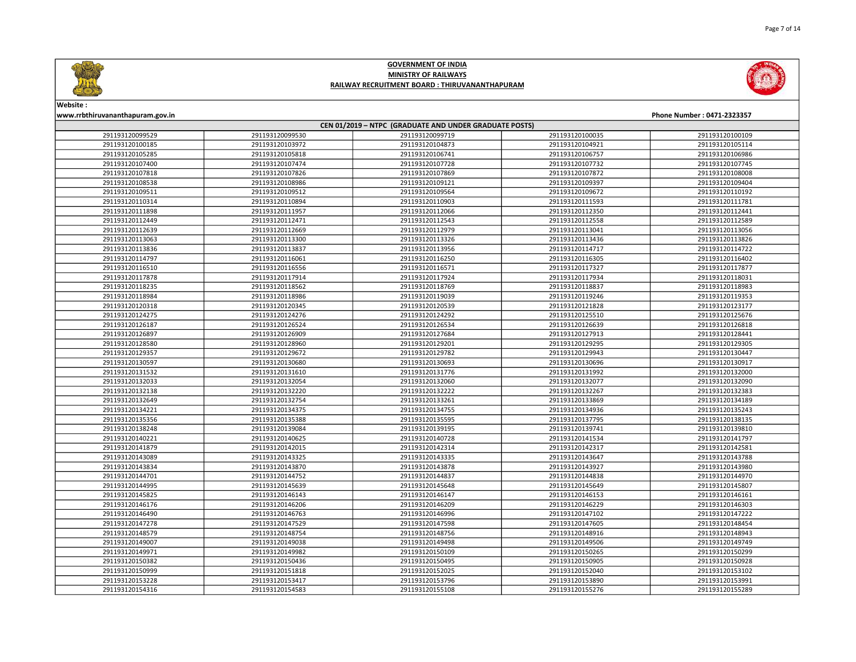



# Website :

| www.rrbthiruvananthapuram.gov.in<br>Phone Number: 0471-2323357 |                 |                 |                 |                 |  |
|----------------------------------------------------------------|-----------------|-----------------|-----------------|-----------------|--|
| CEN 01/2019 - NTPC (GRADUATE AND UNDER GRADUATE POSTS)         |                 |                 |                 |                 |  |
| 291193120099529                                                | 291193120099530 | 291193120099719 | 291193120100035 | 291193120100109 |  |
| 291193120100185                                                | 291193120103972 | 291193120104873 | 291193120104921 | 291193120105114 |  |
| 291193120105285                                                | 291193120105818 | 291193120106741 | 291193120106757 | 291193120106986 |  |
| 291193120107400                                                | 291193120107474 | 291193120107728 | 291193120107732 | 291193120107745 |  |
| 291193120107818                                                | 291193120107826 | 291193120107869 | 291193120107872 | 291193120108008 |  |
| 291193120108538                                                | 291193120108986 | 291193120109121 | 291193120109397 | 291193120109404 |  |
| 291193120109511                                                | 291193120109512 | 291193120109564 | 291193120109672 | 291193120110192 |  |
| 291193120110314                                                | 291193120110894 | 291193120110903 | 291193120111593 | 291193120111781 |  |
| 291193120111898                                                | 291193120111957 | 291193120112066 | 291193120112350 | 291193120112441 |  |
| 291193120112449                                                | 291193120112471 | 291193120112543 | 291193120112558 | 291193120112589 |  |
| 291193120112639                                                | 291193120112669 | 291193120112979 | 291193120113041 | 291193120113056 |  |
| 291193120113063                                                | 291193120113300 | 291193120113326 | 291193120113436 | 291193120113826 |  |
| 291193120113836                                                | 291193120113837 | 291193120113956 | 291193120114717 | 291193120114722 |  |
| 291193120114797                                                | 291193120116061 | 291193120116250 | 291193120116305 | 291193120116402 |  |
| 291193120116510                                                | 291193120116556 | 291193120116571 | 291193120117327 | 291193120117877 |  |
| 291193120117878                                                | 291193120117914 | 291193120117924 | 291193120117934 | 291193120118031 |  |
| 291193120118235                                                | 291193120118562 | 291193120118769 | 291193120118837 | 291193120118983 |  |
| 291193120118984                                                | 291193120118986 | 291193120119039 | 291193120119246 | 291193120119353 |  |
| 291193120120318                                                | 291193120120345 | 291193120120539 | 291193120121828 | 291193120123177 |  |
| 291193120124275                                                | 291193120124276 | 291193120124292 | 291193120125510 | 291193120125676 |  |
| 291193120126187                                                | 291193120126524 | 291193120126534 | 291193120126639 | 291193120126818 |  |
| 291193120126897                                                | 291193120126909 | 291193120127684 | 291193120127913 | 291193120128441 |  |
| 291193120128580                                                | 291193120128960 | 291193120129201 | 291193120129295 | 291193120129305 |  |
| 291193120129357                                                | 291193120129672 | 291193120129782 | 291193120129943 | 291193120130447 |  |
| 291193120130597                                                | 291193120130680 | 291193120130693 | 291193120130696 | 291193120130917 |  |
| 291193120131532                                                | 291193120131610 | 291193120131776 | 291193120131992 | 291193120132000 |  |
| 291193120132033                                                | 291193120132054 | 291193120132060 | 291193120132077 | 291193120132090 |  |
| 291193120132138                                                | 291193120132220 | 291193120132222 | 291193120132267 | 291193120132383 |  |
| 291193120132649                                                | 291193120132754 | 291193120133261 | 291193120133869 | 291193120134189 |  |
| 291193120134221                                                | 291193120134375 | 291193120134755 | 291193120134936 | 291193120135243 |  |
| 291193120135356                                                | 291193120135388 | 291193120135595 | 291193120137795 | 291193120138135 |  |
| 291193120138248                                                | 291193120139084 | 291193120139195 | 291193120139741 | 291193120139810 |  |
| 291193120140221                                                | 291193120140625 | 291193120140728 | 291193120141534 | 291193120141797 |  |
| 291193120141879                                                | 291193120142015 | 291193120142314 | 291193120142317 | 291193120142581 |  |
| 291193120143089                                                | 291193120143325 | 291193120143335 | 291193120143647 | 291193120143788 |  |
| 291193120143834                                                | 291193120143870 | 291193120143878 | 291193120143927 | 291193120143980 |  |
| 291193120144701                                                | 291193120144752 | 291193120144837 | 291193120144838 | 291193120144970 |  |
| 291193120144995                                                | 291193120145639 | 291193120145648 | 291193120145649 | 291193120145807 |  |
| 291193120145825                                                | 291193120146143 | 291193120146147 | 291193120146153 | 291193120146161 |  |
| 291193120146176                                                | 291193120146206 | 291193120146209 | 291193120146229 | 291193120146303 |  |
| 291193120146490                                                | 291193120146763 | 291193120146996 | 291193120147102 | 291193120147222 |  |
| 291193120147278                                                | 291193120147529 | 291193120147598 | 291193120147605 | 291193120148454 |  |
| 291193120148579                                                | 291193120148754 | 291193120148756 | 291193120148916 | 291193120148943 |  |
| 291193120149007                                                | 291193120149038 | 291193120149498 | 291193120149506 | 291193120149749 |  |
| 291193120149971                                                | 291193120149982 | 291193120150109 | 291193120150265 | 291193120150299 |  |
| 291193120150382                                                | 291193120150436 | 291193120150495 | 291193120150905 | 291193120150928 |  |
| 291193120150999                                                | 291193120151818 | 291193120152025 | 291193120152040 | 291193120153102 |  |
| 291193120153228                                                | 291193120153417 | 291193120153796 | 291193120153890 | 291193120153991 |  |
| 291193120154316                                                | 291193120154583 | 291193120155108 | 291193120155276 | 291193120155289 |  |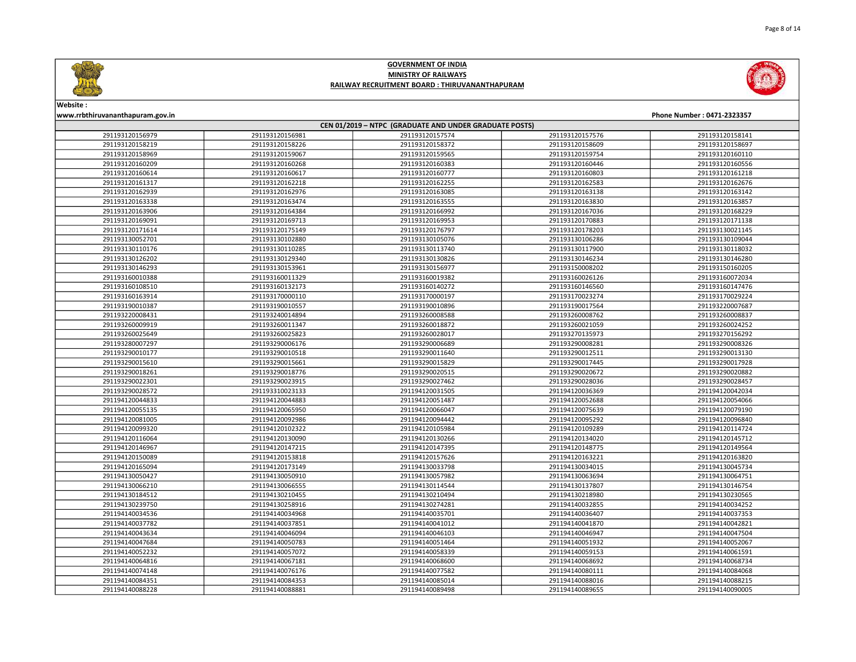



Website :

### www.rrbthiruvananthapuram.gov.in Phone Number : 0471-2323357 CEN 01/2019 – NTPC (GRADUATE AND UNDER GRADUATE POSTS) 291193120156981 291193120157574 291193120157576 291193120158141 291193120158226 291193120158372 291193120158609 291193120158697 291193120159067 291193120159565 291193120159754 291193120160110 291193120160268 291193120160383 291193120160446 291193120160556 291193120160617 291193120160777 291193120160803 291193120161218 291193120162218 291193120162255 291193120162583 291193120162676 291193120162976 291193120163085 291193120163138 291193120163142 291193120163474 291193120163555 291193120163830 291193120163857 291193120164384 291193120166992 291193120167036 291193120168229 291193120169713 291193120169953 291193120170883 291193120171138 291193120175149 291193120176797 291193120178203 291193130021145 291193130102880 291193130105076 291193130106286 291193130109044 291193130110285 291193130113740 291193130117900 291193130118032 291193130129340 291193130130826 291193130146234 291193130146280 291193130153961 291193130156977 291193150008202 291193150160205 291193160011329 291193160019382 291193160026126 291193160072034 291193160132173 291193160140272 291193160146560 291193160147476 291193170000110 291193170000197 291193170023274 291193170029224 291193190010557 291193190010896 291193190017564 291193220007687 291193240014894 291193260008588 291193260008762 291193260008837 291193260011347 291193260018872 291193260021059 291193260024252 291193260025823 291193260028017 291193270135973 291193270156292 291193290006176 291193290006689 291193290008281 291193290008326 291193290010518 291193290011640 291193290012511 291193290013130 291193290015661 291193290015829 291193290017445 291193290017928 291193290018776 291193290020515 291193290020672 291193290020882 291193290023915 291193290027462 291193290028036 291193290028457 291193310023133 291194120031505 291194120036369 291194120042034 291194120044883 291194120051487 291194120052688 291194120054066 291194120065950 291194120066047 291194120075639 291194120079190 291194120092986 291194120094442 291194120095292 291194120096840 291194120102322 291194120105984 291194120109289 291194120114724 291194120130090 291194120130266 291194120134020 291194120145712 291194120147215 291194120147395 291194120148775 291194120149564 291194120153818 291194120157626 291194120163221 291194120163820 291194120173149 291194130033798 291194130034015 291194130045734 291194130050910 291194130057982 291194130063694 291194130064751 291194130066555 291194130114544 291194130137807 291194130146754 291194130210455 291194130210494 291194130218980 291194130230565 291194130258916 291194130274281 291194140032855 291194140034252 291194140034968 291194140035701 291194140036407 291194140037353 291194140037851 291194140041012 291194140041870 291194140042821 291194140046094 291194140046103 291194140046947 291194140047504 291194140050783 291194140051464 291194140051932 291194140052067 291194140057072 291194140058339 291194140059153 291194140061591 291194140067181 291194140068600 291194140068692 291194140068734 291194140076176 291194140077582 291194140080111 291194140084068 291194140084353 291194140085014 291194140088016 291194140088215 291194140088881 291194140089498 291194140089655 291194140090005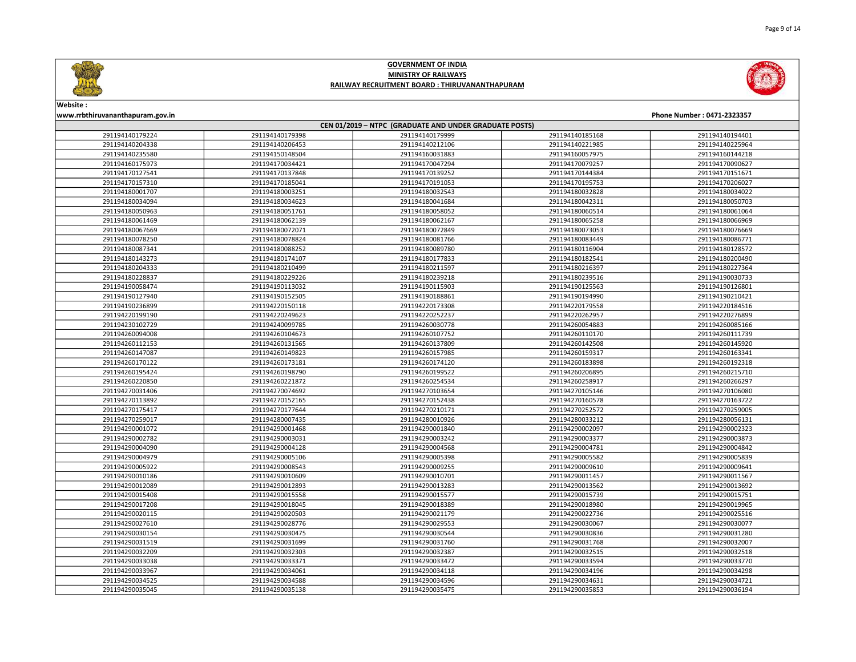



Website :

### www.rrbthiruvananthapuram.gov.in Phone Number : 0471-2323357 CEN 01/2019 – NTPC (GRADUATE AND UNDER GRADUATE POSTS) 291194140179398 291194140179999 291194140185168 291194140194401 291194140206453 291194140212106 291194140221985 291194140225964 291194150148504 291194160031883 291194160057975 291194160144218 291194170034421 291194170047294 291194170079257 291194170090627 291194170137848 291194170139252 291194170144384 291194170151671 291194170185041 291194170191053 291194170195753 291194170206027 291194180003251 291194180032543 291194180032828 291194180034022 291194180034623 291194180041684 291194180042311 291194180050703 291194180051761 291194180058052 291194180060514 291194180061064 291194180062139 291194180062167 291194180065258 291194180066969 291194180072071 291194180072849 291194180073053 291194180076669 291194180078824 291194180081766 291194180083449 291194180086771 291194180088252 291194180089780 291194180116904 291194180128572 291194180174107 291194180177833 291194180182541 291194180200490 291194180210499 291194180211597 291194180216397 291194180227364 291194180229226 291194180239218 291194180239516 291194190030733 291194190113032 291194190115903 291194190125563 291194190126801 291194190152505 291194190188861 291194190194990 291194190210421 291194220150118 291194220173308 291194220179558 291194220184516 291194220249623 291194220252237 291194220262957 291194220276899 291194240099785 291194260030778 291194260054883 291194260085166 291194260104673 291194260107752 291194260110170 291194260111739 291194260131565 291194260137809 291194260142508 291194260145920 291194260149823 291194260157985 291194260159317 291194260163341 291194260173181 291194260174120 291194260183898 291194260192318 291194260198790 291194260199522 291194260206895 291194260215710 291194260221872 291194260254534 291194260258917 291194260266297 291194270074692 291194270103654 291194270105146 291194270106080 291194270152165 291194270152438 291194270160578 291194270163722 291194270177644 291194270210171 291194270252572 291194270259005 291194280007435 291194280010926 291194280033212 291194280056131 291194290001468 291194290001840 291194290002097 291194290002323 291194290003031 291194290003242 291194290003377 291194290003873 291194290004128 291194290004568 291194290004781 291194290004842 291194290005106 291194290005398 291194290005582 291194290005839 291194290008543 291194290009255 291194290009610 291194290009641 291194290010609 291194290010701 291194290011457 291194290011567 291194290012893 291194290013283 291194290013562 291194290013692 291194290015558 291194290015577 291194290015739 291194290015751 291194290018045 291194290018389 291194290018980 291194290019965 291194290020503 291194290021179 291194290022736 291194290025516 291194290028776 291194290029553 291194290030067 291194290030077 291194290030475 291194290030544 291194290030836 291194290031280 291194290031699 291194290031760 291194290031768 291194290032007 291194290032303 291194290032387 291194290032515 291194290032518 291194290033371 291194290033472 291194290033594 291194290033770 291194290034061 291194290034118 291194290034196 291194290034298 291194290034588 291194290034596 291194290034631 291194290034721 291194290035138 291194290035475 291194290035853 291194290036194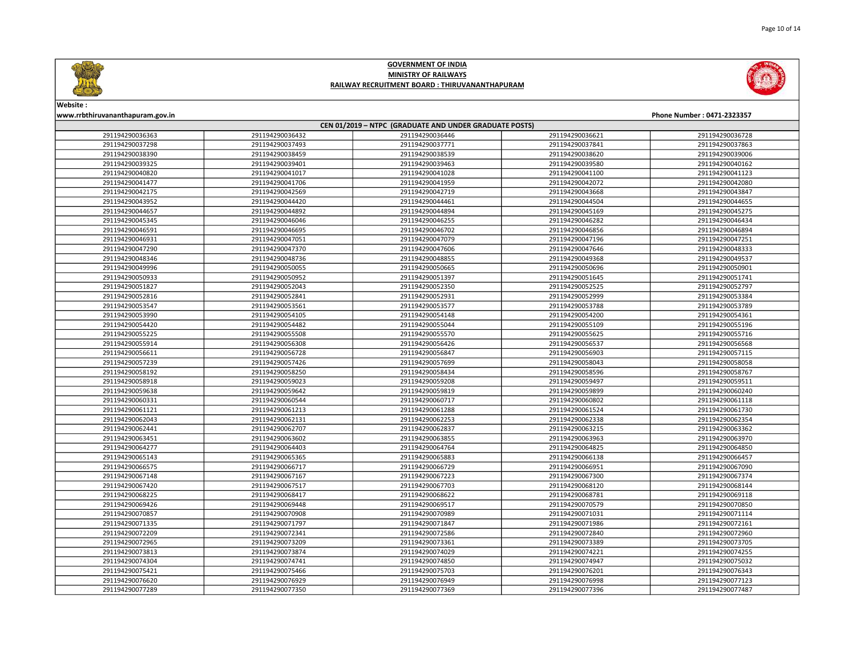

Page 10 of 14

# GOVERNMENT OF INDIA MINISTRY OF RAILWAYS RAILWAY RECRUITMENT BOARD : THIRUVANANTHAPURAM



Website : www.rrbthiruvananthapuram.gov.in Phone Number : 0471-2323357

| CEN 01/2019 - NTPC (GRADUATE AND UNDER GRADUATE POSTS) |                 |                 |                 |                 |  |
|--------------------------------------------------------|-----------------|-----------------|-----------------|-----------------|--|
| 291194290036363                                        | 291194290036432 | 291194290036446 | 291194290036621 | 291194290036728 |  |
| 291194290037298                                        | 291194290037493 | 291194290037771 | 291194290037841 | 291194290037863 |  |
| 291194290038390                                        | 291194290038459 | 291194290038539 | 291194290038620 | 291194290039006 |  |
| 291194290039325                                        | 291194290039401 | 291194290039463 | 291194290039580 | 291194290040162 |  |
| 291194290040820                                        | 291194290041017 | 291194290041028 | 291194290041100 | 291194290041123 |  |
| 291194290041477                                        | 291194290041706 | 291194290041959 | 291194290042072 | 291194290042080 |  |
| 291194290042175                                        | 291194290042569 | 291194290042719 | 291194290043668 | 291194290043847 |  |
| 291194290043952                                        | 291194290044420 | 291194290044461 | 291194290044504 | 291194290044655 |  |
| 291194290044657                                        | 291194290044892 | 291194290044894 | 291194290045169 | 291194290045275 |  |
| 291194290045345                                        | 291194290046046 | 291194290046255 | 291194290046282 | 291194290046434 |  |
| 291194290046591                                        | 291194290046695 | 291194290046702 | 291194290046856 | 291194290046894 |  |
| 291194290046931                                        | 291194290047051 | 291194290047079 | 291194290047196 | 291194290047251 |  |
| 291194290047290                                        | 291194290047370 | 291194290047606 | 291194290047646 | 291194290048333 |  |
| 291194290048346                                        | 291194290048736 | 291194290048855 | 291194290049368 | 291194290049537 |  |
| 291194290049996                                        | 291194290050055 | 291194290050665 | 291194290050696 | 291194290050901 |  |
| 291194290050933                                        | 291194290050952 | 291194290051397 | 291194290051645 | 291194290051741 |  |
| 291194290051827                                        | 291194290052043 | 291194290052350 | 291194290052525 | 291194290052797 |  |
| 291194290052816                                        | 291194290052841 | 291194290052931 | 291194290052999 | 291194290053384 |  |
| 291194290053547                                        | 291194290053561 | 291194290053577 | 291194290053788 | 291194290053789 |  |
| 291194290053990                                        | 291194290054105 | 291194290054148 | 291194290054200 | 291194290054361 |  |
| 291194290054420                                        | 291194290054482 | 291194290055044 | 291194290055109 | 291194290055196 |  |
| 291194290055225                                        | 291194290055508 | 291194290055570 | 291194290055625 | 291194290055716 |  |
| 291194290055914                                        | 291194290056308 | 291194290056426 | 291194290056537 | 291194290056568 |  |
| 291194290056611                                        | 291194290056728 | 291194290056847 | 291194290056903 | 291194290057115 |  |
| 291194290057239                                        | 291194290057426 | 291194290057699 | 291194290058043 | 291194290058058 |  |
| 291194290058192                                        | 291194290058250 | 291194290058434 | 291194290058596 | 291194290058767 |  |
| 291194290058918                                        | 291194290059023 | 291194290059208 | 291194290059497 | 291194290059511 |  |
| 291194290059638                                        | 291194290059642 | 291194290059819 | 291194290059899 | 291194290060240 |  |
| 291194290060331                                        | 291194290060544 | 291194290060717 | 291194290060802 | 291194290061118 |  |
| 291194290061121                                        | 291194290061213 | 291194290061288 | 291194290061524 | 291194290061730 |  |
| 291194290062043                                        | 291194290062131 | 291194290062253 | 291194290062338 | 291194290062354 |  |
| 291194290062441                                        | 291194290062707 | 291194290062837 | 291194290063215 | 291194290063362 |  |
| 291194290063451                                        | 291194290063602 | 291194290063855 | 291194290063963 | 291194290063970 |  |
| 291194290064277                                        | 291194290064403 | 291194290064764 | 291194290064825 | 291194290064850 |  |
| 291194290065143                                        | 291194290065365 | 291194290065883 | 291194290066138 | 291194290066457 |  |
| 291194290066575                                        | 291194290066717 | 291194290066729 | 291194290066951 | 291194290067090 |  |
| 291194290067148                                        | 291194290067167 | 291194290067223 | 291194290067300 | 291194290067374 |  |
| 291194290067420                                        | 291194290067517 | 291194290067703 | 291194290068120 | 291194290068144 |  |
| 291194290068225                                        | 291194290068417 | 291194290068622 | 291194290068781 | 291194290069118 |  |
| 291194290069426                                        | 291194290069448 | 291194290069517 | 291194290070579 | 291194290070850 |  |
| 291194290070857                                        | 291194290070908 | 291194290070989 | 291194290071031 | 291194290071114 |  |
| 291194290071335                                        | 291194290071797 | 291194290071847 | 291194290071986 | 291194290072161 |  |
| 291194290072209                                        | 291194290072341 | 291194290072586 | 291194290072840 | 291194290072960 |  |
| 291194290072965                                        | 291194290073209 | 291194290073361 | 291194290073389 | 291194290073705 |  |
| 291194290073813                                        | 291194290073874 | 291194290074029 | 291194290074221 | 291194290074255 |  |
| 291194290074304                                        | 291194290074741 | 291194290074850 | 291194290074947 | 291194290075032 |  |
| 291194290075421                                        | 291194290075466 | 291194290075703 | 291194290076201 | 291194290076343 |  |
| 291194290076620                                        | 291194290076929 | 291194290076949 | 291194290076998 | 291194290077123 |  |
| 291194290077289                                        | 291194290077350 | 291194290077369 | 291194290077396 | 291194290077487 |  |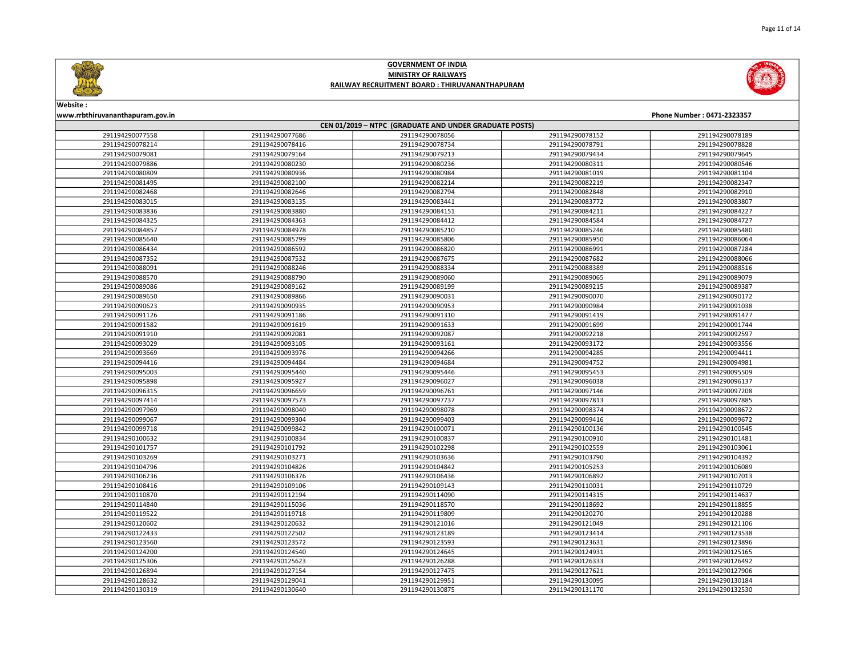





# Website :

www.rrbthiruvananthapuram.gov.in Phone Number : 0471-2323357

| CEN 01/2019 - NTPC (GRADUATE AND UNDER GRADUATE POSTS) |                 |                 |                 |                 |  |
|--------------------------------------------------------|-----------------|-----------------|-----------------|-----------------|--|
| 291194290077558                                        | 291194290077686 | 291194290078056 | 291194290078152 | 291194290078189 |  |
| 291194290078214                                        | 291194290078416 | 291194290078734 | 291194290078791 | 291194290078828 |  |
| 291194290079081                                        | 291194290079164 | 291194290079213 | 291194290079434 | 291194290079645 |  |
| 291194290079886                                        | 291194290080230 | 291194290080236 | 291194290080311 | 291194290080546 |  |
| 291194290080809                                        | 291194290080936 | 291194290080984 | 291194290081019 | 291194290081104 |  |
| 291194290081495                                        | 291194290082100 | 291194290082214 | 291194290082219 | 291194290082347 |  |
| 291194290082468                                        | 291194290082646 | 291194290082794 | 291194290082848 | 291194290082910 |  |
| 291194290083015                                        | 291194290083135 | 291194290083441 | 291194290083772 | 291194290083807 |  |
| 291194290083836                                        | 291194290083880 | 291194290084151 | 291194290084211 | 291194290084227 |  |
| 291194290084325                                        | 291194290084363 | 291194290084412 | 291194290084584 | 291194290084727 |  |
| 291194290084857                                        | 291194290084978 | 291194290085210 | 291194290085246 | 291194290085480 |  |
| 291194290085640                                        | 291194290085799 | 291194290085806 | 291194290085950 | 291194290086064 |  |
| 291194290086434                                        | 291194290086592 | 291194290086820 | 291194290086991 | 291194290087284 |  |
| 291194290087352                                        | 291194290087532 | 291194290087675 | 291194290087682 | 291194290088066 |  |
| 291194290088091                                        | 291194290088246 | 291194290088334 | 291194290088389 | 291194290088516 |  |
| 291194290088570                                        | 291194290088790 | 291194290089060 | 291194290089065 | 291194290089079 |  |
| 291194290089086                                        | 291194290089162 | 291194290089199 | 291194290089215 | 291194290089387 |  |
| 291194290089650                                        | 291194290089866 | 291194290090031 | 291194290090070 | 291194290090172 |  |
| 291194290090623                                        | 291194290090935 | 291194290090953 | 291194290090984 | 291194290091038 |  |
| 291194290091126                                        | 291194290091186 | 291194290091310 | 291194290091419 | 291194290091477 |  |
| 291194290091582                                        | 291194290091619 | 291194290091633 | 291194290091699 | 291194290091744 |  |
| 291194290091910                                        | 291194290092081 | 291194290092087 | 291194290092218 | 291194290092597 |  |
| 291194290093029                                        | 291194290093105 | 291194290093161 | 291194290093172 | 291194290093556 |  |
| 291194290093669                                        | 291194290093976 | 291194290094266 | 291194290094285 | 291194290094411 |  |
| 291194290094416                                        | 291194290094484 | 291194290094684 | 291194290094752 | 291194290094981 |  |
| 291194290095003                                        | 291194290095440 | 291194290095446 | 291194290095453 | 291194290095509 |  |
| 291194290095898                                        | 291194290095927 | 291194290096027 | 291194290096038 | 291194290096137 |  |
| 291194290096315                                        | 291194290096659 | 291194290096761 | 291194290097146 | 291194290097208 |  |
| 291194290097414                                        | 291194290097573 | 291194290097737 | 291194290097813 | 291194290097885 |  |
| 291194290097969                                        | 291194290098040 | 291194290098078 | 291194290098374 | 291194290098672 |  |
| 291194290099067                                        | 291194290099304 | 291194290099403 | 291194290099416 | 291194290099672 |  |
| 291194290099718                                        | 291194290099842 | 291194290100071 | 291194290100136 | 291194290100545 |  |
| 291194290100632                                        | 291194290100834 | 291194290100837 | 291194290100910 | 291194290101481 |  |
| 291194290101757                                        | 291194290101792 | 291194290102298 | 291194290102559 | 291194290103061 |  |
| 291194290103269                                        | 291194290103271 | 291194290103636 | 291194290103790 | 291194290104392 |  |
| 291194290104796                                        | 291194290104826 | 291194290104842 | 291194290105253 | 291194290106089 |  |
| 291194290106236                                        | 291194290106376 | 291194290106436 | 291194290106892 | 291194290107013 |  |
| 291194290108416                                        | 291194290109106 | 291194290109143 | 291194290110031 | 291194290110729 |  |
| 291194290110870                                        | 291194290112194 | 291194290114090 | 291194290114315 | 291194290114637 |  |
| 291194290114840                                        | 291194290115036 | 291194290118570 | 291194290118692 | 291194290118855 |  |
| 291194290119522                                        | 291194290119718 | 291194290119809 | 291194290120270 | 291194290120288 |  |
| 291194290120602                                        | 291194290120632 | 291194290121016 | 291194290121049 | 291194290121106 |  |
| 291194290122433                                        | 291194290122502 | 291194290123189 | 291194290123414 | 291194290123538 |  |
| 291194290123560                                        | 291194290123572 | 291194290123593 | 291194290123631 | 291194290123896 |  |
| 291194290124200                                        | 291194290124540 | 291194290124645 | 291194290124931 | 291194290125165 |  |
| 291194290125306                                        | 291194290125623 | 291194290126288 | 291194290126333 | 291194290126492 |  |
| 291194290126894                                        | 291194290127154 | 291194290127475 | 291194290127621 | 291194290127906 |  |
| 291194290128632                                        | 291194290129041 | 291194290129951 | 291194290130095 | 291194290130184 |  |
| 291194290130319                                        | 291194290130640 | 291194290130875 | 291194290131170 | 291194290132530 |  |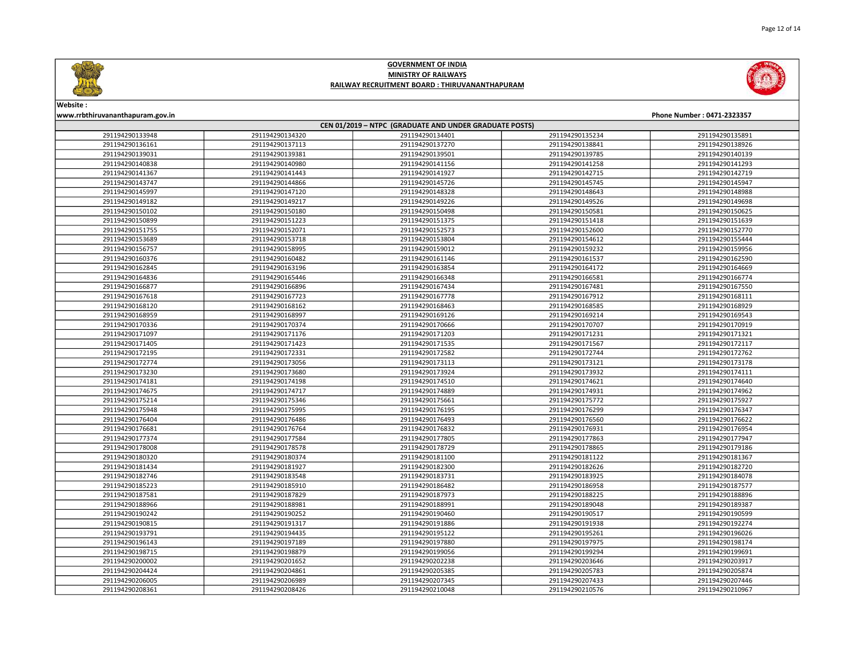



# Website : www.rrbthiruvananthapuram.gov.in Phone Number : 0471-2323357

| CEN 01/2019 - NTPC (GRADUATE AND UNDER GRADUATE POSTS) |                 |                 |                 |                 |  |
|--------------------------------------------------------|-----------------|-----------------|-----------------|-----------------|--|
| 291194290133948                                        | 291194290134320 | 291194290134401 | 291194290135234 | 291194290135891 |  |
| 291194290136161                                        | 291194290137113 | 291194290137270 | 291194290138841 | 291194290138926 |  |
| 291194290139031                                        | 291194290139381 | 291194290139501 | 291194290139785 | 291194290140139 |  |
| 291194290140838                                        | 291194290140980 | 291194290141156 | 291194290141258 | 291194290141293 |  |
| 291194290141367                                        | 291194290141443 | 291194290141927 | 291194290142715 | 291194290142719 |  |
| 291194290143747                                        | 291194290144866 | 291194290145726 | 291194290145745 | 291194290145947 |  |
| 291194290145997                                        | 291194290147120 | 291194290148328 | 291194290148643 | 291194290148988 |  |
| 291194290149182                                        | 291194290149217 | 291194290149226 | 291194290149526 | 291194290149698 |  |
| 291194290150102                                        | 291194290150180 | 291194290150498 | 291194290150581 | 291194290150625 |  |
| 291194290150899                                        | 291194290151223 | 291194290151375 | 291194290151418 | 291194290151639 |  |
| 291194290151755                                        | 291194290152071 | 291194290152573 | 291194290152600 | 291194290152770 |  |
| 291194290153689                                        | 291194290153718 | 291194290153804 | 291194290154612 | 291194290155444 |  |
| 291194290156757                                        | 291194290158995 | 291194290159012 | 291194290159232 | 291194290159956 |  |
| 291194290160376                                        | 291194290160482 | 291194290161146 | 291194290161537 | 291194290162590 |  |
| 291194290162845                                        | 291194290163196 | 291194290163854 | 291194290164172 | 291194290164669 |  |
| 291194290164836                                        | 291194290165446 | 291194290166348 | 291194290166581 | 291194290166774 |  |
| 291194290166877                                        | 291194290166896 | 291194290167434 | 291194290167481 | 291194290167550 |  |
| 291194290167618                                        | 291194290167723 | 291194290167778 | 291194290167912 | 291194290168111 |  |
| 291194290168120                                        | 291194290168162 | 291194290168463 | 291194290168585 | 291194290168929 |  |
| 291194290168959                                        | 291194290168997 | 291194290169126 | 291194290169214 | 291194290169543 |  |
| 291194290170336                                        | 291194290170374 | 291194290170666 | 291194290170707 | 291194290170919 |  |
| 291194290171097                                        | 291194290171176 | 291194290171203 | 291194290171231 | 291194290171321 |  |
| 291194290171405                                        | 291194290171423 | 291194290171535 | 291194290171567 | 291194290172117 |  |
| 291194290172195                                        | 291194290172331 | 291194290172582 | 291194290172744 | 291194290172762 |  |
| 291194290172774                                        | 291194290173056 | 291194290173113 | 291194290173121 | 291194290173178 |  |
| 291194290173230                                        | 291194290173680 | 291194290173924 | 291194290173932 | 291194290174111 |  |
| 291194290174181                                        | 291194290174198 | 291194290174510 | 291194290174621 | 291194290174640 |  |
| 291194290174675                                        | 291194290174717 | 291194290174889 | 291194290174931 | 291194290174962 |  |
| 291194290175214                                        | 291194290175346 | 291194290175661 | 291194290175772 | 291194290175927 |  |
| 291194290175948                                        | 291194290175995 | 291194290176195 | 291194290176299 | 291194290176347 |  |
| 291194290176404                                        | 291194290176486 | 291194290176493 | 291194290176560 | 291194290176622 |  |
| 291194290176681                                        | 291194290176764 | 291194290176832 | 291194290176931 | 291194290176954 |  |
| 291194290177374                                        | 291194290177584 | 291194290177805 | 291194290177863 | 291194290177947 |  |
| 291194290178008                                        | 291194290178578 | 291194290178729 | 291194290178865 | 291194290179186 |  |
| 291194290180320                                        | 291194290180374 | 291194290181100 | 291194290181122 | 291194290181367 |  |
| 291194290181434                                        | 291194290181927 | 291194290182300 | 291194290182626 | 291194290182720 |  |
| 291194290182746                                        | 291194290183548 | 291194290183731 | 291194290183925 | 291194290184078 |  |
| 291194290185223                                        | 291194290185910 | 291194290186482 | 291194290186958 | 291194290187577 |  |
| 291194290187581                                        | 291194290187829 | 291194290187973 | 291194290188225 | 291194290188896 |  |
| 291194290188966                                        | 291194290188981 | 291194290188991 | 291194290189048 | 291194290189387 |  |
| 291194290190242                                        | 291194290190252 | 291194290190460 | 291194290190517 | 291194290190599 |  |
| 291194290190815                                        | 291194290191317 | 291194290191886 | 291194290191938 | 291194290192274 |  |
| 291194290193791                                        | 291194290194435 | 291194290195122 | 291194290195261 | 291194290196026 |  |
| 291194290196143                                        | 291194290197189 | 291194290197880 | 291194290197975 | 291194290198174 |  |
| 291194290198715                                        | 291194290198879 | 291194290199056 | 291194290199294 | 291194290199691 |  |
| 291194290200002                                        | 291194290201652 | 291194290202238 | 291194290203646 | 291194290203917 |  |
| 291194290204424                                        | 291194290204861 | 291194290205385 | 291194290205783 | 291194290205874 |  |
| 291194290206005                                        | 291194290206989 | 291194290207345 | 291194290207433 | 291194290207446 |  |
| 291194290208361                                        | 291194290208426 | 291194290210048 | 291194290210576 | 291194290210967 |  |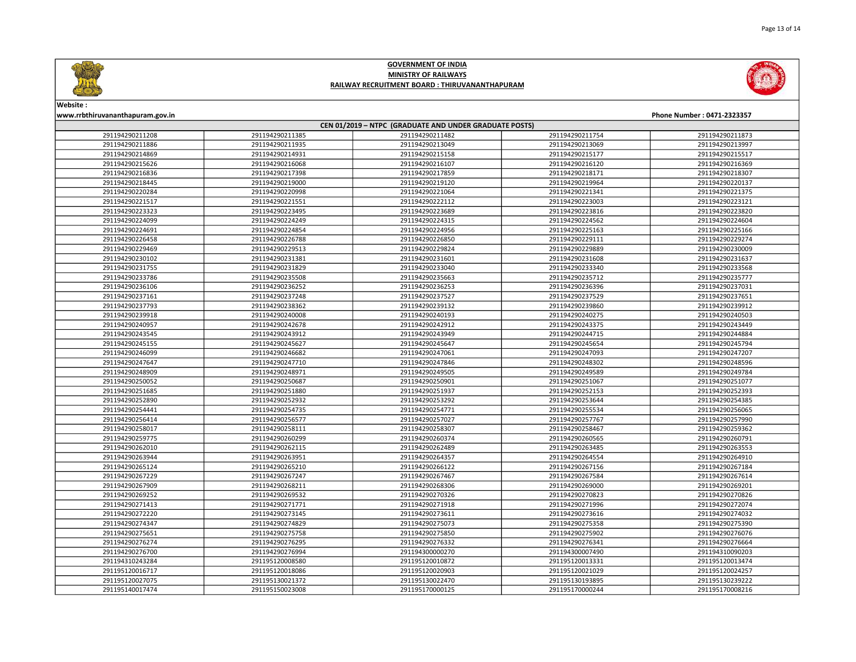



# Website : www.rrbthiruvananthapuram.gov.in Phone Number : 0471-2323357

| CEN 01/2019 - NTPC (GRADUATE AND UNDER GRADUATE POSTS) |                 |                 |                 |                 |  |
|--------------------------------------------------------|-----------------|-----------------|-----------------|-----------------|--|
| 291194290211208                                        | 291194290211385 | 291194290211482 | 291194290211754 | 291194290211873 |  |
| 291194290211886                                        | 291194290211935 | 291194290213049 | 291194290213069 | 291194290213997 |  |
| 291194290214869                                        | 291194290214931 | 291194290215158 | 291194290215177 | 291194290215517 |  |
| 291194290215626                                        | 291194290216068 | 291194290216107 | 291194290216120 | 291194290216369 |  |
| 291194290216836                                        | 291194290217398 | 291194290217859 | 291194290218171 | 291194290218307 |  |
| 291194290218445                                        | 291194290219000 | 291194290219120 | 291194290219964 | 291194290220137 |  |
| 291194290220284                                        | 291194290220998 | 291194290221064 | 291194290221341 | 291194290221375 |  |
| 291194290221517                                        | 291194290221551 | 291194290222112 | 291194290223003 | 291194290223121 |  |
| 291194290223323                                        | 291194290223495 | 291194290223689 | 291194290223816 | 291194290223820 |  |
| 291194290224099                                        | 291194290224249 | 291194290224315 | 291194290224562 | 291194290224604 |  |
| 291194290224691                                        | 291194290224854 | 291194290224956 | 291194290225163 | 291194290225166 |  |
| 291194290226458                                        | 291194290226788 | 291194290226850 | 291194290229111 | 291194290229274 |  |
| 291194290229469                                        | 291194290229513 | 291194290229824 | 291194290229889 | 291194290230009 |  |
| 291194290230102                                        | 291194290231381 | 291194290231601 | 291194290231608 | 291194290231637 |  |
| 291194290231755                                        | 291194290231829 | 291194290233040 | 291194290233340 | 291194290233568 |  |
| 291194290233786                                        | 291194290235508 | 291194290235663 | 291194290235712 | 291194290235777 |  |
| 291194290236106                                        | 291194290236252 | 291194290236253 | 291194290236396 | 291194290237031 |  |
| 291194290237161                                        | 291194290237248 | 291194290237527 | 291194290237529 | 291194290237651 |  |
| 291194290237793                                        | 291194290238362 | 291194290239132 | 291194290239860 | 291194290239912 |  |
| 291194290239918                                        | 291194290240008 | 291194290240193 | 291194290240275 | 291194290240503 |  |
| 291194290240957                                        | 291194290242678 | 291194290242912 | 291194290243375 | 291194290243449 |  |
| 291194290243545                                        | 291194290243912 | 291194290243949 | 291194290244715 | 291194290244884 |  |
| 291194290245155                                        | 291194290245627 | 291194290245647 | 291194290245654 | 291194290245794 |  |
| 291194290246099                                        | 291194290246682 | 291194290247061 | 291194290247093 | 291194290247207 |  |
| 291194290247647                                        | 291194290247710 | 291194290247846 | 291194290248302 | 291194290248596 |  |
| 291194290248909                                        | 291194290248971 | 291194290249505 | 291194290249589 | 291194290249784 |  |
| 291194290250052                                        | 291194290250687 | 291194290250901 | 291194290251067 | 291194290251077 |  |
| 291194290251685                                        | 291194290251880 | 291194290251937 | 291194290252153 | 291194290252393 |  |
| 291194290252890                                        | 291194290252932 | 291194290253292 | 291194290253644 | 291194290254385 |  |
| 291194290254441                                        | 291194290254735 | 291194290254771 | 291194290255534 | 291194290256065 |  |
| 291194290256414                                        | 291194290256577 | 291194290257027 | 291194290257767 | 291194290257990 |  |
| 291194290258017                                        | 291194290258111 | 291194290258307 | 291194290258467 | 291194290259362 |  |
| 291194290259775                                        | 291194290260299 | 291194290260374 | 291194290260565 | 291194290260791 |  |
| 291194290262010                                        | 291194290262115 | 291194290262489 | 291194290263485 | 291194290263553 |  |
| 291194290263944                                        | 291194290263951 | 291194290264357 | 291194290264554 | 291194290264910 |  |
| 291194290265124                                        | 291194290265210 | 291194290266122 | 291194290267156 | 291194290267184 |  |
| 291194290267229                                        | 291194290267247 | 291194290267467 | 291194290267584 | 291194290267614 |  |
| 291194290267909                                        | 291194290268211 | 291194290268306 | 291194290269000 | 291194290269201 |  |
| 291194290269252                                        | 291194290269532 | 291194290270326 | 291194290270823 | 291194290270826 |  |
| 291194290271413                                        | 291194290271771 | 291194290271918 | 291194290271996 | 291194290272074 |  |
| 291194290272220                                        | 291194290273145 | 291194290273611 | 291194290273616 | 291194290274032 |  |
| 291194290274347                                        | 291194290274829 | 291194290275073 | 291194290275358 | 291194290275390 |  |
| 291194290275651                                        | 291194290275758 | 291194290275850 | 291194290275902 | 291194290276076 |  |
| 291194290276274                                        | 291194290276295 | 291194290276332 | 291194290276341 | 291194290276664 |  |
| 291194290276700                                        | 291194290276994 | 291194300000270 | 291194300007490 | 291194310090203 |  |
| 291194310243284                                        | 291195120008580 | 291195120010872 | 291195120013331 | 291195120013474 |  |
| 291195120016717                                        | 291195120018086 | 291195120020903 | 291195120021029 | 291195120024257 |  |
| 291195120027075                                        | 291195130021372 | 291195130022470 | 291195130193895 | 291195130239222 |  |
| 291195140017474                                        | 291195150023008 | 291195170000125 | 291195170000244 | 291195170008216 |  |